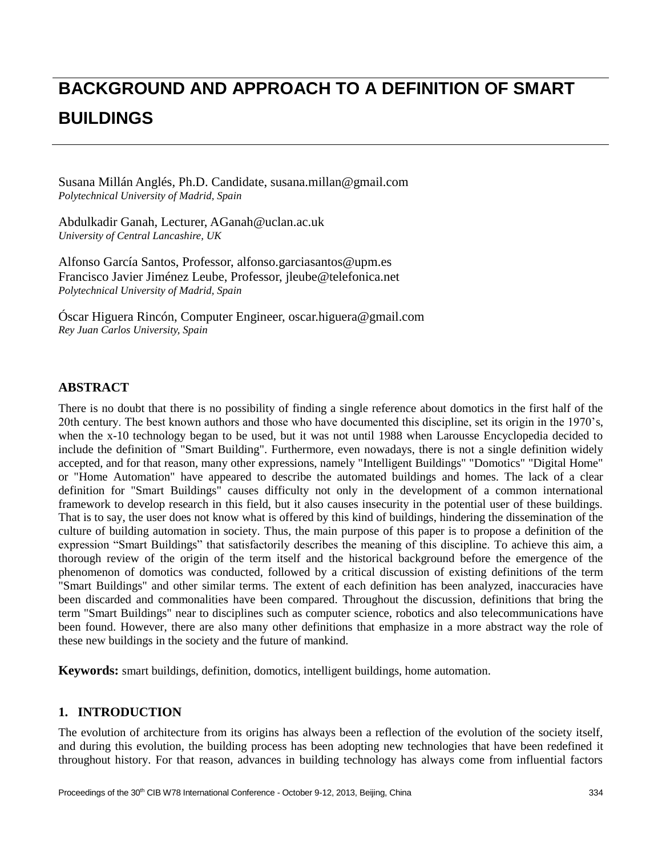# **BACKGROUND AND APPROACH TO A DEFINITION OF SMART BUILDINGS**

Susana Millán Anglés, Ph.D. Candidate, susana.millan@gmail.com *Polytechnical University of Madrid, Spain*

Abdulkadir Ganah, Lecturer, AGanah@uclan.ac.uk *University of Central Lancashire, UK*

Alfonso Garc á Santos, Professor, alfonso.garciasantos@upm.es Francisco Javier Jiménez Leube, Professor, jleube@telefonica.net *Polytechnical University of Madrid, Spain*

Óscar Higuera Rincón, Computer Engineer, oscar.higuera@gmail.com *Rey Juan Carlos University, Spain*

# **ABSTRACT**

There is no doubt that there is no possibility of finding a single reference about domotics in the first half of the 20th century. The best known authors and those who have documented this discipline, set its origin in the 1970's, when the x-10 technology began to be used, but it was not until 1988 when Larousse Encyclopedia decided to include the definition of "Smart Building". Furthermore, even nowadays, there is not a single definition widely accepted, and for that reason, many other expressions, namely "Intelligent Buildings" "Domotics" "Digital Home" or "Home Automation" have appeared to describe the automated buildings and homes. The lack of a clear definition for "Smart Buildings" causes difficulty not only in the development of a common international framework to develop research in this field, but it also causes insecurity in the potential user of these buildings. That is to say, the user does not know what is offered by this kind of buildings, hindering the dissemination of the culture of building automation in society. Thus, the main purpose of this paper is to propose a definition of the expression "Smart Buildings" that satisfactorily describes the meaning of this discipline. To achieve this aim, a thorough review of the origin of the term itself and the historical background before the emergence of the phenomenon of domotics was conducted, followed by a critical discussion of existing definitions of the term "Smart Buildings" and other similar terms. The extent of each definition has been analyzed, inaccuracies have been discarded and commonalities have been compared. Throughout the discussion, definitions that bring the term "Smart Buildings" near to disciplines such as computer science, robotics and also telecommunications have been found. However, there are also many other definitions that emphasize in a more abstract way the role of these new buildings in the society and the future of mankind.

**Keywords:** smart buildings, definition, domotics, intelligent buildings, home automation.

# **1. INTRODUCTION**

The evolution of architecture from its origins has always been a reflection of the evolution of the society itself, and during this evolution, the building process has been adopting new technologies that have been redefined it throughout history. For that reason, advances in building technology has always come from influential factors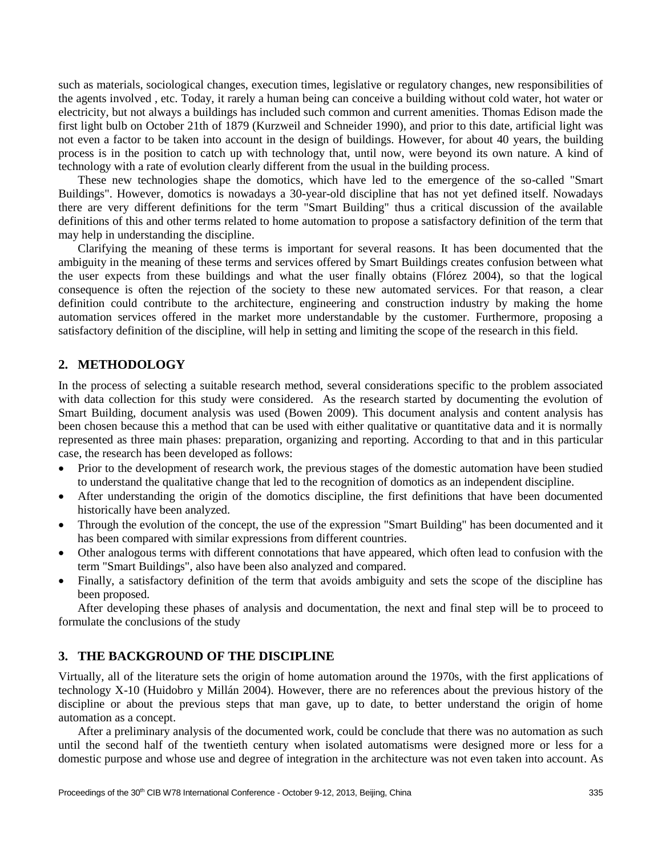such as materials, sociological changes, execution times, legislative or regulatory changes, new responsibilities of the agents involved , etc. Today, it rarely a human being can conceive a building without cold water, hot water or electricity, but not always a buildings has included such common and current amenities. Thomas Edison made the first light bulb on October 21th of 1879 (Kurzweil and Schneider 1990), and prior to this date, artificial light was not even a factor to be taken into account in the design of buildings. However, for about 40 years, the building process is in the position to catch up with technology that, until now, were beyond its own nature. A kind of technology with a rate of evolution clearly different from the usual in the building process.

These new technologies shape the domotics, which have led to the emergence of the so-called "Smart Buildings". However, domotics is nowadays a 30-year-old discipline that has not yet defined itself. Nowadays there are very different definitions for the term "Smart Building" thus a critical discussion of the available definitions of this and other terms related to home automation to propose a satisfactory definition of the term that may help in understanding the discipline.

Clarifying the meaning of these terms is important for several reasons. It has been documented that the ambiguity in the meaning of these terms and services offered by Smart Buildings creates confusion between what the user expects from these buildings and what the user finally obtains (Flórez 2004), so that the logical consequence is often the rejection of the society to these new automated services. For that reason, a clear definition could contribute to the architecture, engineering and construction industry by making the home automation services offered in the market more understandable by the customer. Furthermore, proposing a satisfactory definition of the discipline, will help in setting and limiting the scope of the research in this field.

## **2. METHODOLOGY**

In the process of selecting a suitable research method, several considerations specific to the problem associated with data collection for this study were considered. As the research started by documenting the evolution of Smart Building, document analysis was used (Bowen 2009). This document analysis and content analysis has been chosen because this a method that can be used with either qualitative or quantitative data and it is normally represented as three main phases: preparation, organizing and reporting. According to that and in this particular case, the research has been developed as follows:

- Prior to the development of research work, the previous stages of the domestic automation have been studied to understand the qualitative change that led to the recognition of domotics as an independent discipline.
- After understanding the origin of the domotics discipline, the first definitions that have been documented historically have been analyzed.
- Through the evolution of the concept, the use of the expression "Smart Building" has been documented and it has been compared with similar expressions from different countries.
- Other analogous terms with different connotations that have appeared, which often lead to confusion with the term "Smart Buildings", also have been also analyzed and compared.
- Finally, a satisfactory definition of the term that avoids ambiguity and sets the scope of the discipline has been proposed.

After developing these phases of analysis and documentation, the next and final step will be to proceed to formulate the conclusions of the study

## **3. THE BACKGROUND OF THE DISCIPLINE**

Virtually, all of the literature sets the origin of home automation around the 1970s, with the first applications of technology X-10 (Huidobro y Millán 2004). However, there are no references about the previous history of the discipline or about the previous steps that man gave, up to date, to better understand the origin of home automation as a concept.

After a preliminary analysis of the documented work, could be conclude that there was no automation as such until the second half of the twentieth century when isolated automatisms were designed more or less for a domestic purpose and whose use and degree of integration in the architecture was not even taken into account. As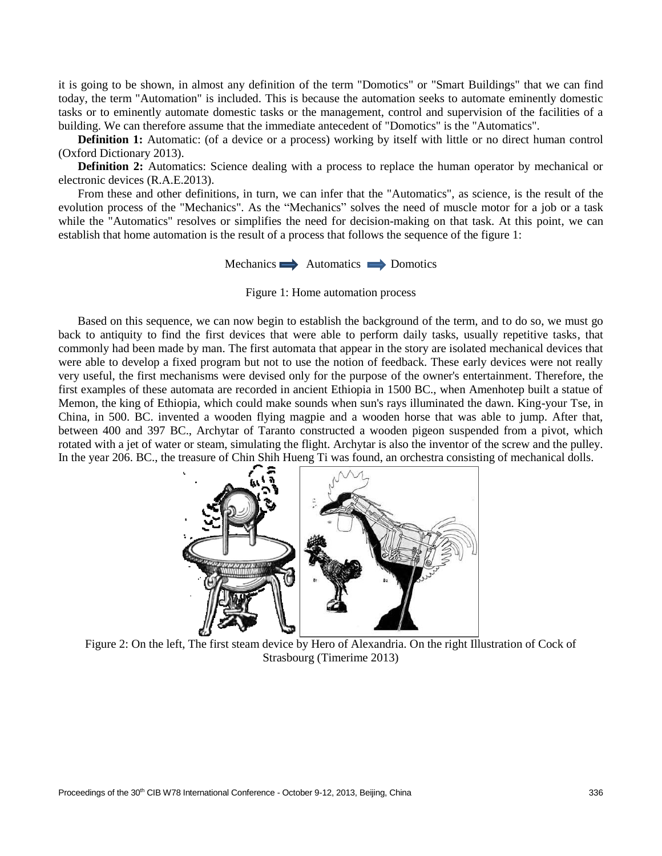it is going to be shown, in almost any definition of the term "Domotics" or "Smart Buildings" that we can find today, the term "Automation" is included. This is because the automation seeks to automate eminently domestic tasks or to eminently automate domestic tasks or the management, control and supervision of the facilities of a building. We can therefore assume that the immediate antecedent of "Domotics" is the "Automatics".

**Definition 1:** Automatic: (of a device or a process) working by itself with little or no direct human control (Oxford Dictionary 2013).

**Definition 2:** Automatics: Science dealing with a process to replace the human operator by mechanical or electronic devices (R.A.E.2013).

From these and other definitions, in turn, we can infer that the "Automatics", as science, is the result of the evolution process of the "Mechanics". As the "Mechanics" solves the need of muscle motor for a job or a task while the "Automatics" resolves or simplifies the need for decision-making on that task. At this point, we can establish that home automation is the result of a process that follows the sequence of the figure 1:

Mechanics Automatics Domotics

Figure 1: Home automation process

Based on this sequence, we can now begin to establish the background of the term, and to do so, we must go back to antiquity to find the first devices that were able to perform daily tasks, usually repetitive tasks, that commonly had been made by man. The first automata that appear in the story are isolated mechanical devices that were able to develop a fixed program but not to use the notion of feedback. These early devices were not really very useful, the first mechanisms were devised only for the purpose of the owner's entertainment. Therefore, the first examples of these automata are recorded in ancient Ethiopia in 1500 BC., when Amenhotep built a statue of Memon, the king of Ethiopia, which could make sounds when sun's rays illuminated the dawn. King-your Tse, in China, in 500. BC. invented a wooden flying magpie and a wooden horse that was able to jump. After that, between 400 and 397 BC., Archytar of Taranto constructed a wooden pigeon suspended from a pivot, which rotated with a jet of water or steam, simulating the flight. Archytar is also the inventor of the screw and the pulley. In the year 206. BC., the treasure of Chin Shih Hueng Ti was found, an orchestra consisting of mechanical dolls.



Figure 2: On the left, The first steam device by Hero of Alexandria. On the right Illustration of Cock of Strasbourg (Timerime 2013)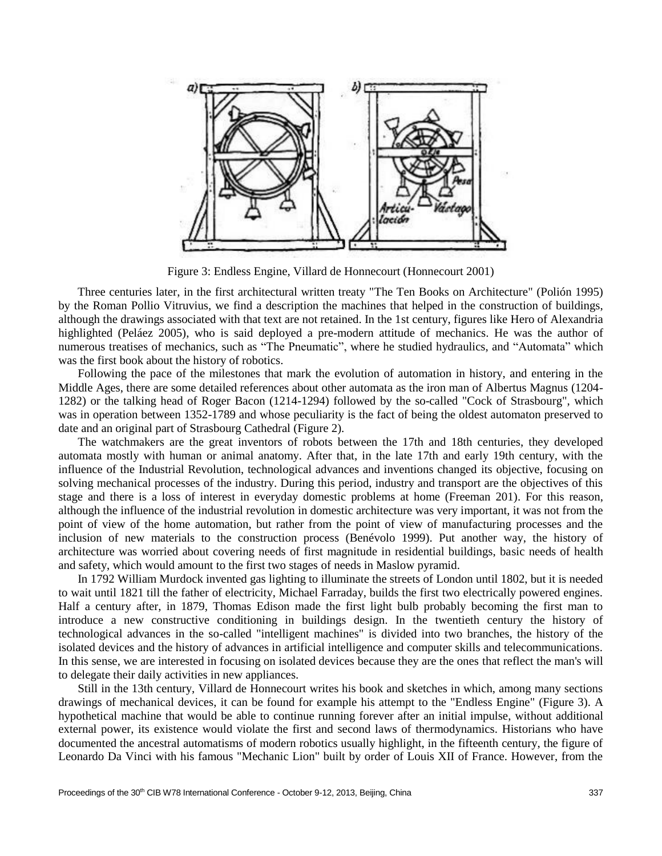

Figure 3: Endless Engine, Villard de Honnecourt (Honnecourt 2001)

Three centuries later, in the first architectural written treaty "The Ten Books on Architecture" (Polión 1995) by the Roman Pollio Vitruvius, we find a description the machines that helped in the construction of buildings, although the drawings associated with that text are not retained. In the 1st century, figures like Hero of Alexandria highlighted (Peláez 2005), who is said deployed a pre-modern attitude of mechanics. He was the author of numerous treatises of mechanics, such as "The Pneumatic", where he studied hydraulics, and "Automata" which was the first book about the history of robotics.

Following the pace of the milestones that mark the evolution of automation in history, and entering in the Middle Ages, there are some detailed references about other automata as the iron man of Albertus Magnus (1204- 1282) or the talking head of Roger Bacon (1214-1294) followed by the so-called "Cock of Strasbourg", which was in operation between 1352-1789 and whose peculiarity is the fact of being the oldest automaton preserved to date and an original part of Strasbourg Cathedral (Figure 2).

The watchmakers are the great inventors of robots between the 17th and 18th centuries, they developed automata mostly with human or animal anatomy. After that, in the late 17th and early 19th century, with the influence of the Industrial Revolution, technological advances and inventions changed its objective, focusing on solving mechanical processes of the industry. During this period, industry and transport are the objectives of this stage and there is a loss of interest in everyday domestic problems at home (Freeman 201). For this reason, although the influence of the industrial revolution in domestic architecture was very important, it was not from the point of view of the home automation, but rather from the point of view of manufacturing processes and the inclusion of new materials to the construction process (Benévolo 1999). Put another way, the history of architecture was worried about covering needs of first magnitude in residential buildings, basic needs of health and safety, which would amount to the first two stages of needs in Maslow pyramid.

In 1792 William Murdock invented gas lighting to illuminate the streets of London until 1802, but it is needed to wait until 1821 till the father of electricity, Michael Farraday, builds the first two electrically powered engines. Half a century after, in 1879, Thomas Edison made the first light bulb probably becoming the first man to introduce a new constructive conditioning in buildings design. In the twentieth century the history of technological advances in the so-called "intelligent machines" is divided into two branches, the history of the isolated devices and the history of advances in artificial intelligence and computer skills and telecommunications. In this sense, we are interested in focusing on isolated devices because they are the ones that reflect the man's will to delegate their daily activities in new appliances.

Still in the 13th century, Villard de Honnecourt writes his book and sketches in which, among many sections drawings of mechanical devices, it can be found for example his attempt to the "Endless Engine" (Figure 3). A hypothetical machine that would be able to continue running forever after an initial impulse, without additional external power, its existence would violate the first and second laws of thermodynamics. Historians who have documented the ancestral automatisms of modern robotics usually highlight, in the fifteenth century, the figure of Leonardo Da Vinci with his famous "Mechanic Lion" built by order of Louis XII of France. However, from the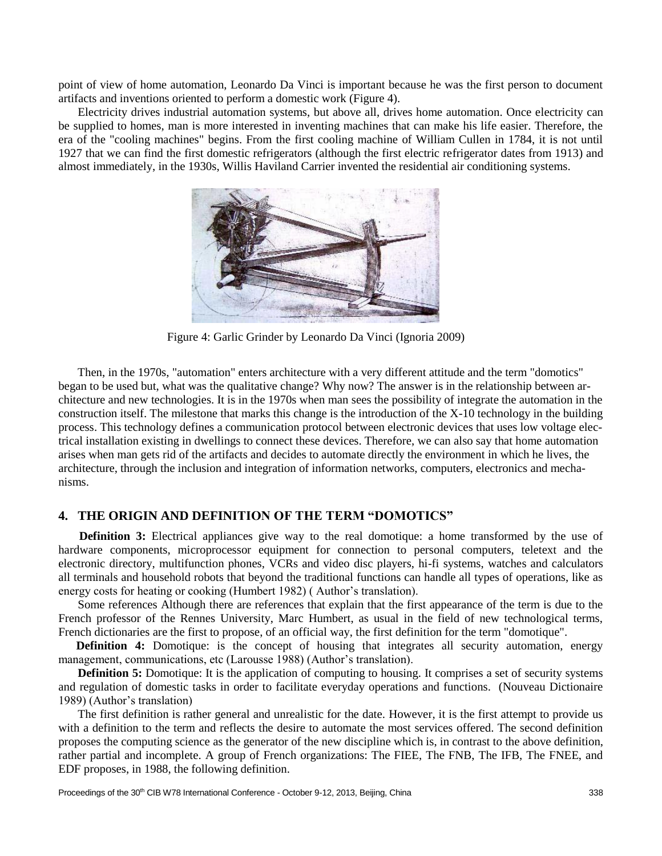point of view of home automation, Leonardo Da Vinci is important because he was the first person to document artifacts and inventions oriented to perform a domestic work (Figure 4).

Electricity drives industrial automation systems, but above all, drives home automation. Once electricity can be supplied to homes, man is more interested in inventing machines that can make his life easier. Therefore, the era of the "cooling machines" begins. From the first cooling machine of William Cullen in 1784, it is not until 1927 that we can find the first domestic refrigerators (although the first electric refrigerator dates from 1913) and almost immediately, in the 1930s, Willis Haviland Carrier invented the residential air conditioning systems.



Figure 4: Garlic Grinder by Leonardo Da Vinci (Ignoria 2009)

Then, in the 1970s, "automation" enters architecture with a very different attitude and the term "domotics" began to be used but, what was the qualitative change? Why now? The answer is in the relationship between architecture and new technologies. It is in the 1970s when man sees the possibility of integrate the automation in the construction itself. The milestone that marks this change is the introduction of the X-10 technology in the building process. This technology defines a communication protocol between electronic devices that uses low voltage electrical installation existing in dwellings to connect these devices. Therefore, we can also say that home automation arises when man gets rid of the artifacts and decides to automate directly the environment in which he lives, the architecture, through the inclusion and integration of information networks, computers, electronics and mechanisms.

#### **4. THE ORIGIN AND DEFINITION OF THE TERM "DOMOTICS"**

 **Definition 3:** Electrical appliances give way to the real domotique: a home transformed by the use of hardware components, microprocessor equipment for connection to personal computers, teletext and the electronic directory, multifunction phones, VCRs and video disc players, hi-fi systems, watches and calculators all terminals and household robots that beyond the traditional functions can handle all types of operations, like as energy costs for heating or cooking (Humbert 1982) ( Author's translation).

Some references Although there are references that explain that the first appearance of the term is due to the French professor of the Rennes University, Marc Humbert, as usual in the field of new technological terms, French dictionaries are the first to propose, of an official way, the first definition for the term "domotique".

**Definition 4:** Domotique: is the concept of housing that integrates all security automation, energy management, communications, etc (Larousse 1988) (Author's translation).

**Definition 5:** Domotique: It is the application of computing to housing. It comprises a set of security systems and regulation of domestic tasks in order to facilitate everyday operations and functions. (Nouveau Dictionaire 1989) (Author's translation)

The first definition is rather general and unrealistic for the date. However, it is the first attempt to provide us with a definition to the term and reflects the desire to automate the most services offered. The second definition proposes the computing science as the generator of the new discipline which is, in contrast to the above definition, rather partial and incomplete. A group of French organizations: The FIEE, The FNB, The IFB, The FNEE, and EDF proposes, in 1988, the following definition.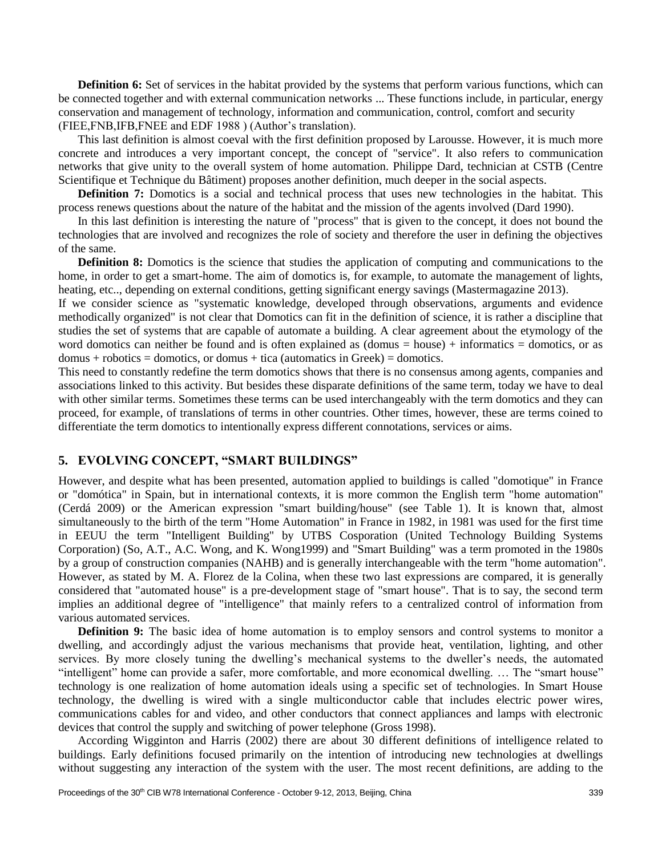**Definition 6:** Set of services in the habitat provided by the systems that perform various functions, which can be connected together and with external communication networks ... These functions include, in particular, energy conservation and management of technology, information and communication, control, comfort and security (FIEE,FNB,IFB,FNEE and EDF 1988 ) (Author's translation).

This last definition is almost coeval with the first definition proposed by Larousse. However, it is much more concrete and introduces a very important concept, the concept of "service". It also refers to communication networks that give unity to the overall system of home automation. Philippe Dard, technician at CSTB (Centre Scientifique et Technique du Bâtiment) proposes another definition, much deeper in the social aspects.

**Definition 7:** Domotics is a social and technical process that uses new technologies in the habitat. This process renews questions about the nature of the habitat and the mission of the agents involved (Dard 1990).

In this last definition is interesting the nature of "process" that is given to the concept, it does not bound the technologies that are involved and recognizes the role of society and therefore the user in defining the objectives of the same.

**Definition 8:** Domotics is the science that studies the application of computing and communications to the home, in order to get a smart-home. The aim of domotics is, for example, to automate the management of lights, heating, etc.., depending on external conditions, getting significant energy savings (Mastermagazine 2013).

If we consider science as "systematic knowledge, developed through observations, arguments and evidence methodically organized" is not clear that Domotics can fit in the definition of science, it is rather a discipline that studies the set of systems that are capable of automate a building. A clear agreement about the etymology of the word domotics can neither be found and is often explained as  $(domus = house) + informatics = domotics$ , or as  $domus + robotics =$ domotics, or domus + tica (automatics in Greek) = domotics.

This need to constantly redefine the term domotics shows that there is no consensus among agents, companies and associations linked to this activity. But besides these disparate definitions of the same term, today we have to deal with other similar terms. Sometimes these terms can be used interchangeably with the term domotics and they can proceed, for example, of translations of terms in other countries. Other times, however, these are terms coined to differentiate the term domotics to intentionally express different connotations, services or aims.

#### **5. EVOLVING CONCEPT, "SMART BUILDINGS"**

However, and despite what has been presented, automation applied to buildings is called "domotique" in France or "domótica" in Spain, but in international contexts, it is more common the English term "home automation" (Cerdá 2009) or the American expression "smart building/house" (see Table 1). It is known that, almost simultaneously to the birth of the term "Home Automation" in France in 1982, in 1981 was used for the first time in EEUU the term "Intelligent Building" by UTBS Cosporation (United Technology Building Systems Corporation) (So, A.T., A.C. Wong, and K. Wong1999) and "Smart Building" was a term promoted in the 1980s by a group of construction companies (NAHB) and is generally interchangeable with the term "home automation". However, as stated by M. A. Florez de la Colina, when these two last expressions are compared, it is generally considered that "automated house" is a pre-development stage of "smart house". That is to say, the second term implies an additional degree of "intelligence" that mainly refers to a centralized control of information from various automated services.

**Definition 9:** The basic idea of home automation is to employ sensors and control systems to monitor a dwelling, and accordingly adjust the various mechanisms that provide heat, ventilation, lighting, and other services. By more closely tuning the dwelling's mechanical systems to the dweller's needs, the automated "intelligent" home can provide a safer, more comfortable, and more economical dwelling. … The "smart house" technology is one realization of home automation ideals using a specific set of technologies. In Smart House technology, the dwelling is wired with a single multiconductor cable that includes electric power wires, communications cables for and video, and other conductors that connect appliances and lamps with electronic devices that control the supply and switching of power telephone (Gross 1998).

According Wigginton and Harris (2002) there are about 30 different definitions of intelligence related to buildings. Early definitions focused primarily on the intention of introducing new technologies at dwellings without suggesting any interaction of the system with the user. The most recent definitions, are adding to the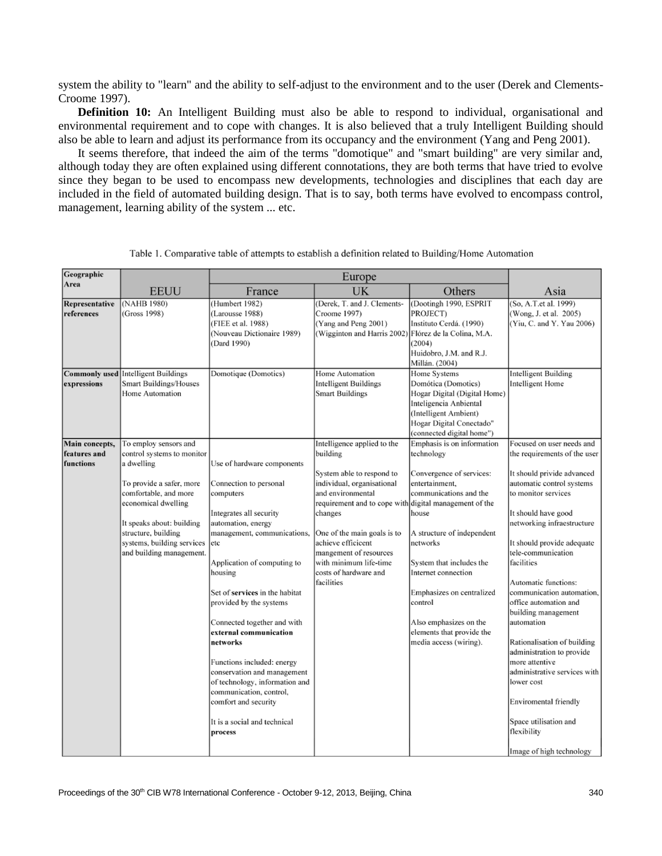system the ability to "learn" and the ability to self-adjust to the environment and to the user (Derek and Clements-Croome 1997).

**Definition 10:** An Intelligent Building must also be able to respond to individual, organisational and environmental requirement and to cope with changes. It is also believed that a truly Intelligent Building should also be able to learn and adjust its performance from its occupancy and the environment (Yang and Peng 2001).

It seems therefore, that indeed the aim of the terms "domotique" and "smart building" are very similar and, although today they are often explained using different connotations, they are both terms that have tried to evolve since they began to be used to encompass new developments, technologies and disciplines that each day are included in the field of automated building design. That is to say, both terms have evolved to encompass control, management, learning ability of the system ... etc.

| France                                                                                                                                                                                                                                                                                                                                                                                                                                                                                                                            | UK                                                                                                                                                                                                                                                                                 | Others                                                                                                                                                                                                                                                                                                            | Asia                                                                                                                                                                                                                                                                                                                                                                                                                                                                                                                                                                                                           |
|-----------------------------------------------------------------------------------------------------------------------------------------------------------------------------------------------------------------------------------------------------------------------------------------------------------------------------------------------------------------------------------------------------------------------------------------------------------------------------------------------------------------------------------|------------------------------------------------------------------------------------------------------------------------------------------------------------------------------------------------------------------------------------------------------------------------------------|-------------------------------------------------------------------------------------------------------------------------------------------------------------------------------------------------------------------------------------------------------------------------------------------------------------------|----------------------------------------------------------------------------------------------------------------------------------------------------------------------------------------------------------------------------------------------------------------------------------------------------------------------------------------------------------------------------------------------------------------------------------------------------------------------------------------------------------------------------------------------------------------------------------------------------------------|
| (Humbert 1982)<br>Larousse 1988)<br>(FIEE et al. 1988)<br>(Nouveau Dictionaire 1989)<br>Dard 1990)                                                                                                                                                                                                                                                                                                                                                                                                                                | (Derek, T. and J. Clements-<br>Croome 1997)<br>(Yang and Peng 2001)<br>(Wigginton and Harris 2002)                                                                                                                                                                                 | (Dootingh 1990, ESPRIT<br>PROJECT)<br>Instituto Cerdá. (1990)<br>(2004)<br>Huidobro, J.M. and R.J.<br>Millán. (2004)                                                                                                                                                                                              | (So, A.T.et al. 1999)<br>(Wong, J. et al. 2005)<br>(Yiu, C. and Y. Yau 2006)                                                                                                                                                                                                                                                                                                                                                                                                                                                                                                                                   |
| Domotique (Domotics)                                                                                                                                                                                                                                                                                                                                                                                                                                                                                                              | Home Automation<br>Intelligent Buildings<br><b>Smart Buildings</b>                                                                                                                                                                                                                 | Domótica (Domotics)<br>Hogar Digital (Digital Home)<br>Inteligencia Anbiental<br>(Intelligent Ambient)<br>Hogar Digital Conectado"<br>(connected digital home")                                                                                                                                                   | <b>Intelligent Building</b><br>Intelligent Home                                                                                                                                                                                                                                                                                                                                                                                                                                                                                                                                                                |
| Use of hardware components<br>Connection to personal<br>computers<br>Integrates all security<br>automation, energy<br>management, communications,<br>etc<br>Application of computing to<br>housing<br>Set of services in the habitat<br>provided by the systems<br>Connected together and with<br>external communication<br>networks<br>Functions included: energy<br>conservation and management<br>of technology, information and<br>communication, control,<br>comfort and security<br>It is a social and technical<br>process | Intelligence applied to the<br>building<br>System able to respond to<br>individual, organisational<br>and environmental<br>changes<br>One of the main goals is to<br>achieve efficicent<br>mangement of resources<br>with minimum life-time<br>costs of hardware and<br>facilities | technology<br>Convergence of services:<br>entertainment,<br>communications and the<br>house<br>A structure of independent<br>networks<br>System that includes the<br>Internet connection<br>Emphasizes on centralized<br>control<br>Also emphasizes on the<br>elements that provide the<br>media access (wiring). | Focused on user needs and<br>the requirements of the user<br>It should privide advanced<br>automatic control systems<br>to monitor services<br>It should have good<br>networking infraestructure<br>It should provide adequate<br>tele-communication<br>facilities<br>Automatic functions:<br>communication automation,<br>office automation and<br>building management<br>automation<br>Rationalisation of building<br>administration to provide<br>more attentive<br>administrative services with<br>lower cost<br>Enviromental friendly<br>Space utilisation and<br>flexibility<br>Image of high technology |
|                                                                                                                                                                                                                                                                                                                                                                                                                                                                                                                                   | control systems to monitor<br>systems, building services<br>and building management.                                                                                                                                                                                               | Europe                                                                                                                                                                                                                                                                                                            | Flórez de la Colina, M.A.<br>Home Systems<br>Emphasis is on information<br>requirement and to cope with digital management of the                                                                                                                                                                                                                                                                                                                                                                                                                                                                              |

Table 1. Comparative table of attempts to establish a definition related to Building/Home Automation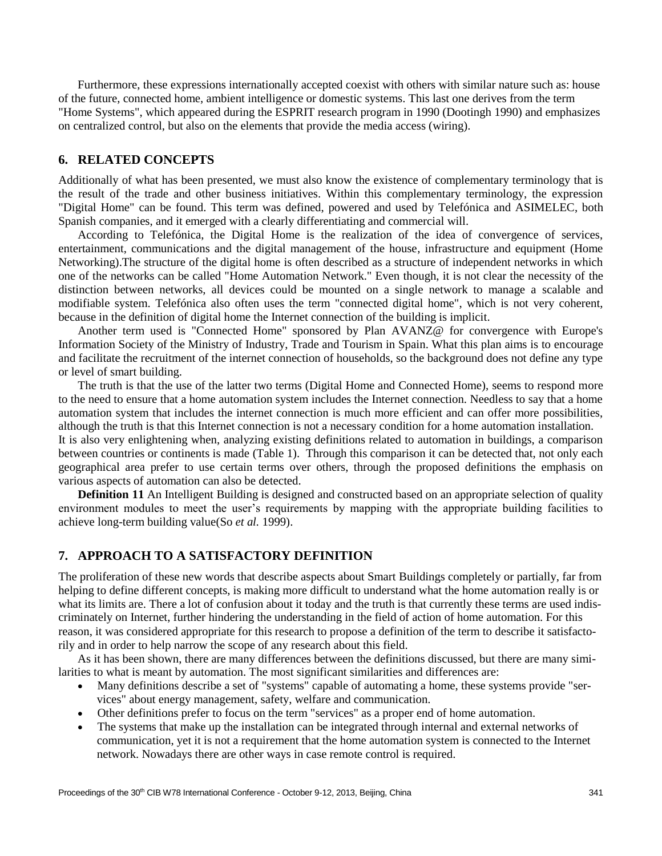Furthermore, these expressions internationally accepted coexist with others with similar nature such as: house of the future, connected home, ambient intelligence or domestic systems. This last one derives from the term "Home Systems", which appeared during the ESPRIT research program in 1990 (Dootingh 1990) and emphasizes on centralized control, but also on the elements that provide the media access (wiring).

## **6. RELATED CONCEPTS**

Additionally of what has been presented, we must also know the existence of complementary terminology that is the result of the trade and other business initiatives. Within this complementary terminology, the expression "Digital Home" can be found. This term was defined, powered and used by Telefónica and ASIMELEC, both Spanish companies, and it emerged with a clearly differentiating and commercial will.

According to Telefónica, the Digital Home is the realization of the idea of convergence of services, entertainment, communications and the digital management of the house, infrastructure and equipment (Home Networking).The structure of the digital home is often described as a structure of independent networks in which one of the networks can be called "Home Automation Network." Even though, it is not clear the necessity of the distinction between networks, all devices could be mounted on a single network to manage a scalable and modifiable system. Telefónica also often uses the term "connected digital home", which is not very coherent, because in the definition of digital home the Internet connection of the building is implicit.

Another term used is "Connected Home" sponsored by Plan AVANZ@ for convergence with Europe's Information Society of the Ministry of Industry, Trade and Tourism in Spain. What this plan aims is to encourage and facilitate the recruitment of the internet connection of households, so the background does not define any type or level of smart building.

The truth is that the use of the latter two terms (Digital Home and Connected Home), seems to respond more to the need to ensure that a home automation system includes the Internet connection. Needless to say that a home automation system that includes the internet connection is much more efficient and can offer more possibilities, although the truth is that this Internet connection is not a necessary condition for a home automation installation.

It is also very enlightening when, analyzing existing definitions related to automation in buildings, a comparison between countries or continents is made (Table 1). Through this comparison it can be detected that, not only each geographical area prefer to use certain terms over others, through the proposed definitions the emphasis on various aspects of automation can also be detected.

**Definition 11** An Intelligent Building is designed and constructed based on an appropriate selection of quality environment modules to meet the user's requirements by mapping with the appropriate building facilities to achieve long-term building value(So *et al.* 1999).

#### **7. APPROACH TO A SATISFACTORY DEFINITION**

The proliferation of these new words that describe aspects about Smart Buildings completely or partially, far from helping to define different concepts, is making more difficult to understand what the home automation really is or what its limits are. There a lot of confusion about it today and the truth is that currently these terms are used indiscriminately on Internet, further hindering the understanding in the field of action of home automation. For this reason, it was considered appropriate for this research to propose a definition of the term to describe it satisfactorily and in order to help narrow the scope of any research about this field.

As it has been shown, there are many differences between the definitions discussed, but there are many similarities to what is meant by automation. The most significant similarities and differences are:

- Many definitions describe a set of "systems" capable of automating a home, these systems provide "services" about energy management, safety, welfare and communication.
- Other definitions prefer to focus on the term "services" as a proper end of home automation.
- The systems that make up the installation can be integrated through internal and external networks of communication, yet it is not a requirement that the home automation system is connected to the Internet network. Nowadays there are other ways in case remote control is required.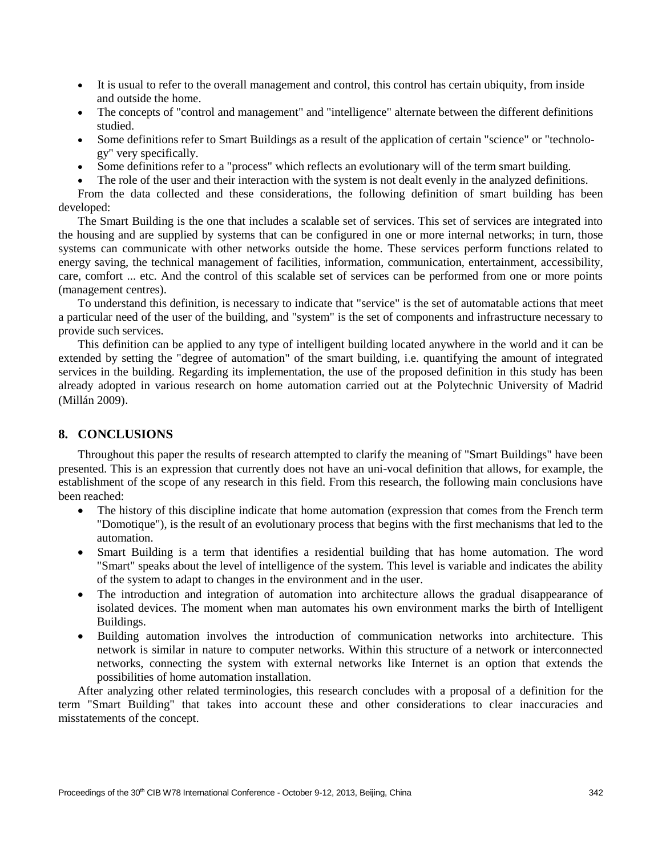- It is usual to refer to the overall management and control, this control has certain ubiquity, from inside and outside the home.
- The concepts of "control and management" and "intelligence" alternate between the different definitions studied.
- Some definitions refer to Smart Buildings as a result of the application of certain "science" or "technology" very specifically.
- Some definitions refer to a "process" which reflects an evolutionary will of the term smart building.
- The role of the user and their interaction with the system is not dealt evenly in the analyzed definitions.

From the data collected and these considerations, the following definition of smart building has been developed:

The Smart Building is the one that includes a scalable set of services. This set of services are integrated into the housing and are supplied by systems that can be configured in one or more internal networks; in turn, those systems can communicate with other networks outside the home. These services perform functions related to energy saving, the technical management of facilities, information, communication, entertainment, accessibility, care, comfort ... etc. And the control of this scalable set of services can be performed from one or more points (management centres).

To understand this definition, is necessary to indicate that "service" is the set of automatable actions that meet a particular need of the user of the building, and "system" is the set of components and infrastructure necessary to provide such services.

This definition can be applied to any type of intelligent building located anywhere in the world and it can be extended by setting the "degree of automation" of the smart building, i.e. quantifying the amount of integrated services in the building. Regarding its implementation, the use of the proposed definition in this study has been already adopted in various research on home automation carried out at the Polytechnic University of Madrid (Millán 2009).

# **8. CONCLUSIONS**

Throughout this paper the results of research attempted to clarify the meaning of "Smart Buildings" have been presented. This is an expression that currently does not have an uni-vocal definition that allows, for example, the establishment of the scope of any research in this field. From this research, the following main conclusions have been reached:

- The history of this discipline indicate that home automation (expression that comes from the French term "Domotique"), is the result of an evolutionary process that begins with the first mechanisms that led to the automation.
- Smart Building is a term that identifies a residential building that has home automation. The word "Smart" speaks about the level of intelligence of the system. This level is variable and indicates the ability of the system to adapt to changes in the environment and in the user.
- The introduction and integration of automation into architecture allows the gradual disappearance of isolated devices. The moment when man automates his own environment marks the birth of Intelligent Buildings.
- Building automation involves the introduction of communication networks into architecture. This network is similar in nature to computer networks. Within this structure of a network or interconnected networks, connecting the system with external networks like Internet is an option that extends the possibilities of home automation installation.

After analyzing other related terminologies, this research concludes with a proposal of a definition for the term "Smart Building" that takes into account these and other considerations to clear inaccuracies and misstatements of the concept.